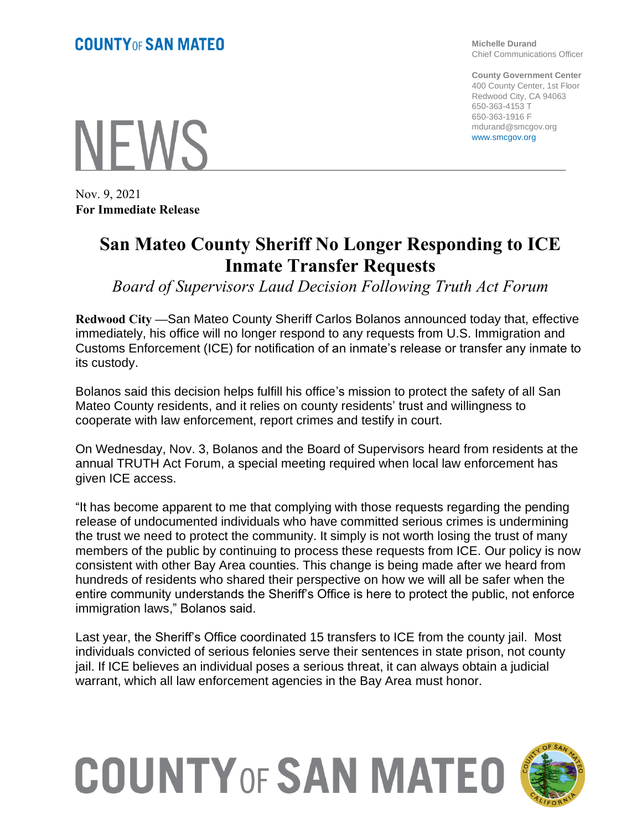**NEWS** 

Nov. 9, 2021 **For Immediate Release**

## **San Mateo County Sheriff No Longer Responding to ICE Inmate Transfer Requests**

*Board of Supervisors Laud Decision Following Truth Act Forum*

**Redwood City —**San Mateo County Sheriff Carlos Bolanos announced today that, effective immediately, his office will no longer respond to any requests from U.S. Immigration and Customs Enforcement (ICE) for notification of an inmate's release or transfer any inmate to its custody.

Bolanos said this decision helps fulfill his office's mission to protect the safety of all San Mateo County residents, and it relies on county residents' trust and willingness to cooperate with law enforcement, report crimes and testify in court.

On Wednesday, Nov. 3, Bolanos and the Board of Supervisors heard from residents at the annual TRUTH Act Forum, a special meeting required when local law enforcement has given ICE access.

"It has become apparent to me that complying with those requests regarding the pending release of undocumented individuals who have committed serious crimes is undermining the trust we need to protect the community. It simply is not worth losing the trust of many members of the public by continuing to process these requests from ICE. Our policy is now consistent with other Bay Area counties. This change is being made after we heard from hundreds of residents who shared their perspective on how we will all be safer when the entire community understands the Sheriff's Office is here to protect the public, not enforce immigration laws," Bolanos said.

Last year, the Sheriff's Office coordinated 15 transfers to ICE from the county jail. Most individuals convicted of serious felonies serve their sentences in state prison, not county jail. If ICE believes an individual poses a serious threat, it can always obtain a judicial warrant, which all law enforcement agencies in the Bay Area must honor.

## **COUNTY OF SAN MATEO**



**Michelle Durand** Chief Communications Officer

**County Government Center** 400 County Center, 1st Floor Redwood City, CA 94063 650-363-4153 T 650-363-1916 F mdurand@smcgov.org www.smcgov.org